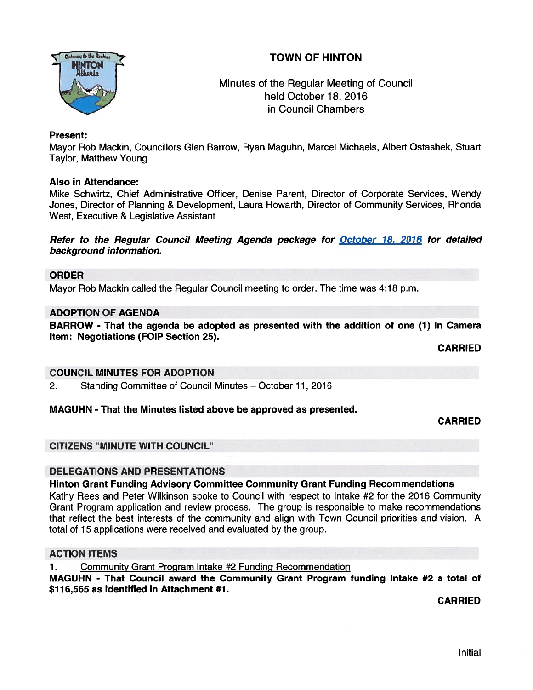# TOWN OF HINTON



Minutes of the Regular Meeting of Council held October 18, 2016 in Council Chambers

#### Present:

Mayor Rob Mackin, Councillors Glen Barrow, Ryan Maguhn, Marcel Michaels, Albert Ostashek, Stuart Taylor, Matthew Young

#### Also in Attendance:

Mike Schwirtz, Chief Administrative Officer, Denise Parent, Director of Corporate Services, Wendy Jones, Director of Planning & Development, Laura Howarth, Director of Community Services, Rhonda West, Executive & Legislative Assistant

Refer to the Regular Council Meeting Agenda package for October 18, 2016 for detailed background information.

#### ORDER

Mayor Rob Mackin called the Regular Council meeting to order. The time was 4:18 p.m.

#### ADOPTION OF AGENDA

BARROW - That the agenda be adopted as presented with the addition of one (1) In Camera Item: Negotiations (FOIP Section 25).

CARRIED

#### COUNCIL MINUTES FOR ADOPTION

2. Standing Committee of Council Minutes — October 11, 2016

#### MAGUHN - That the Minutes listed above be approved as presented.

CARRIED

#### CITIZENS "MINUTE WITH COUNCIL"

#### DELEGATIONS AND PRESENTATIONS

#### Hinton Grant Funding Advisory Committee Community Grant Funding Recommendations

Kathy Rees and Peter Wilkinson spoke to Council with respec<sup>t</sup> to Intake #2 for the 2016 Community Grant Program application and review process. The group is responsible to make recommendations that reflect the best interests of the community and align with Town Council priorities and vision. A total of 15 applications were received and evaluated by the group.

#### ACTION ITEMS

1. Community Grant Program Intake #2 Funding Recommendation

MAGUHN - That Council award the Community Grant Program funding Intake #2 <sup>a</sup> total of \$116,565 as identified in Attachment #1.

CARRIED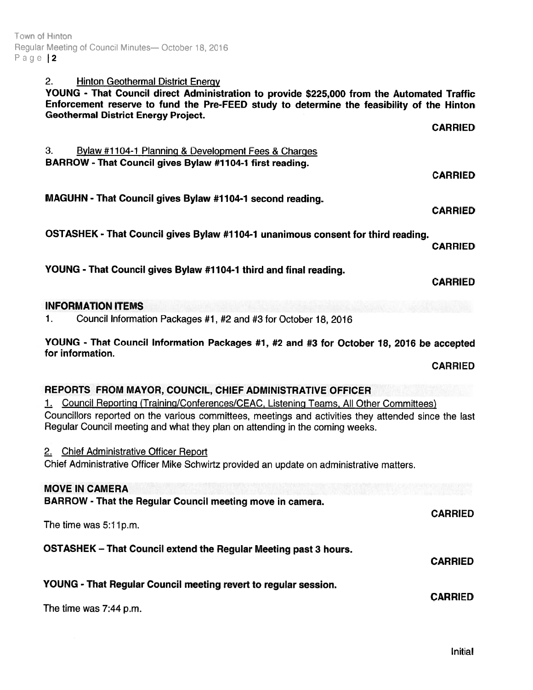Town ot Hinton Regular Meeting of Council Minutes- October 18, 2016 Page 12

### 2. Hinton Geothermal District Energy

YOUNG - That Council direct Administration to provide \$225,000 from the Automated Traffic Enforcement reserve to fund the Pre-FEED study to determine the feasibility of the Hinton Geothermal District Energy Project. and an agreement

|                                                                                                                                                                                                                                                                                                                                              | <b>CARRIED</b> |
|----------------------------------------------------------------------------------------------------------------------------------------------------------------------------------------------------------------------------------------------------------------------------------------------------------------------------------------------|----------------|
| 3.<br>Bylaw #1104-1 Planning & Development Fees & Charges<br>BARROW - That Council gives Bylaw #1104-1 first reading.                                                                                                                                                                                                                        |                |
|                                                                                                                                                                                                                                                                                                                                              | <b>CARRIED</b> |
| MAGUHN - That Council gives Bylaw #1104-1 second reading.                                                                                                                                                                                                                                                                                    | <b>CARRIED</b> |
| OSTASHEK - That Council gives Bylaw #1104-1 unanimous consent for third reading.                                                                                                                                                                                                                                                             | <b>CARRIED</b> |
| YOUNG - That Council gives Bylaw #1104-1 third and final reading.                                                                                                                                                                                                                                                                            | <b>CARRIED</b> |
| <b>INFORMATION ITEMS</b>                                                                                                                                                                                                                                                                                                                     |                |
| Council Information Packages #1, #2 and #3 for October 18, 2016<br>1.                                                                                                                                                                                                                                                                        |                |
| YOUNG - That Council Information Packages #1, #2 and #3 for October 18, 2016 be accepted<br>for information.                                                                                                                                                                                                                                 |                |
|                                                                                                                                                                                                                                                                                                                                              | <b>CARRIED</b> |
| REPORTS FROM MAYOR, COUNCIL, CHIEF ADMINISTRATIVE OFFICER<br>1. Council Reporting (Training/Conferences/CEAC, Listening Teams, All Other Committees)<br>Councillors reported on the various committees, meetings and activities they attended since the last<br>Regular Council meeting and what they plan on attending in the coming weeks. |                |
| 2. Chief Administrative Officer Report<br>Chief Administrative Officer Mike Schwirtz provided an update on administrative matters.                                                                                                                                                                                                           |                |
| <b>MOVE IN CAMERA</b>                                                                                                                                                                                                                                                                                                                        |                |
| BARROW - That the Regular Council meeting move in camera.                                                                                                                                                                                                                                                                                    | <b>CARRIED</b> |
| The time was 5:11p.m.                                                                                                                                                                                                                                                                                                                        |                |
| <b>OSTASHEK - That Council extend the Regular Meeting past 3 hours.</b>                                                                                                                                                                                                                                                                      | <b>CARRIED</b> |
| YOUNG - That Regular Council meeting revert to regular session.                                                                                                                                                                                                                                                                              | <b>CARRIED</b> |
| The time was 7:44 p.m.                                                                                                                                                                                                                                                                                                                       |                |